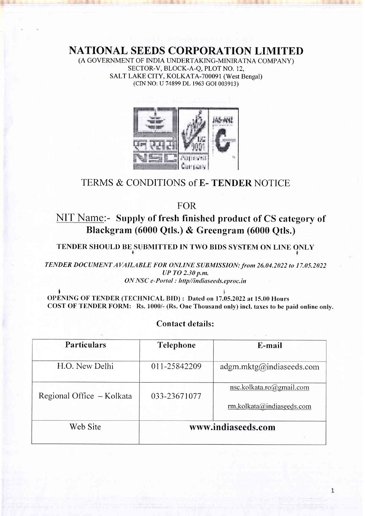NATIONAL SEEDS CORPORATION LIMITEI)

(A GOVERNMENT OF INDIA UNDERTAKING-MINIRATNA COMPANY) SECTOR-V, BLOCK-A-Q, PLOT NO. 12, SALT LAKE CITY, KOLKATA-700091 (West Bengal) (CIN NO: U 74899 DL 1963 cOI 003913)



# TERMS & CONDITIONS of E- TENDER NOTICE

FOR

NIT Name:- Supply of fresh finished product of CS category of Blackgram (6000 Qtls.) & Greengram (6000 Qtls.)

TENDER SHOULD BE SUBMITTED IN TWO BIDS SYSTEM ON LINE ONLY

TENDER DOCUMENT AVAILABLE FOR ONLINE SUBMISSION: from 26.04.2022 to 17.05.2022 UP TO 2.30 p.m. ON NSC e-Portal : http//indiaseeds.eproc.in

l<br>.... OPENING OF TENDER (TECHNICAL BID) : Dated on 17.05.2022 at 15.00 Hours COST OF TENDER FORM: Rs. 1000/- (Rs. One Thousand only) incl. taxes to be paid online only.

# Contact details:

| <b>Particulars</b>        | <b>Telephone</b>   | E-mail                                                      |  |
|---------------------------|--------------------|-------------------------------------------------------------|--|
| H.O. New Delhi            | 011-25842209       | $adgm.mktg(\hat{\omega})$ indiaseeds.com                    |  |
| Regional Office - Kolkata | 033-23671077       | nsc.kolkata.ro $(a)$ gmail.com<br>rm.kolkata@indiaseeds.com |  |
| Web Site                  | www.indiaseeds.com |                                                             |  |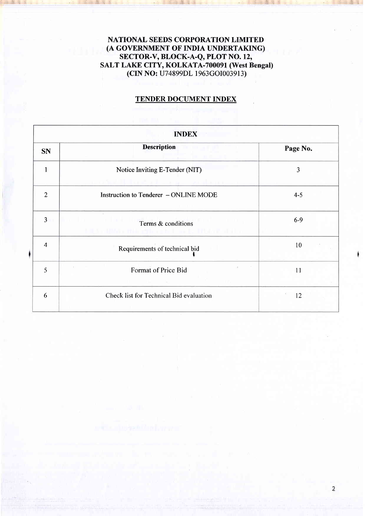# NATIONAL SEEDS CORPORATION LIMITED (A GOVERNMENT OF INDIA UNDERTAKING) SECTOR-V, BLOCK-A-Q, PLOT NO. 12, SALT LAKE CITY, KOLKATA-700091 (West Bengal) (CIN NO; U7 4899DL I 963GOI00391 3)

# TENDER DOCUMENT INDEX

|                         | <b>INDEX</b>                                                            |          |  |  |  |
|-------------------------|-------------------------------------------------------------------------|----------|--|--|--|
| <b>SN</b>               | <b>Description</b>                                                      | Page No. |  |  |  |
| $\mathbf{1}$            | Notice Inviting E-Tender (NIT)                                          | 3        |  |  |  |
| $\overline{2}$          | Instruction to Tenderer - ONLINE MODE                                   | $4 - 5$  |  |  |  |
| $\overline{\mathbf{3}}$ | G.<br>Terms & conditions<br>d a Web yirka yin kuma isa kiliyete katalog | $6-9$    |  |  |  |
| $\overline{4}$          | Requirements of technical bid                                           | 10       |  |  |  |
| 5                       | 计<br>Format of Price Bid                                                | 11       |  |  |  |
| 6                       | Check list for Technical Bid evaluation                                 | 12       |  |  |  |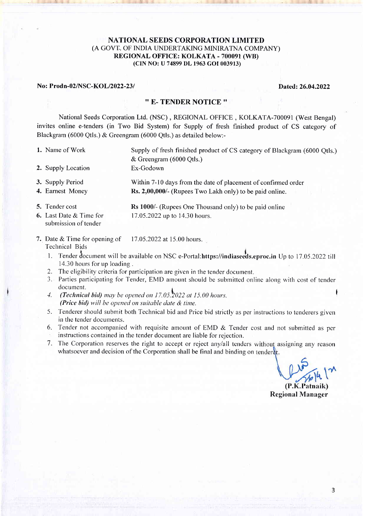# NATIONAL SEEDS CORPORATION LIMITED (A GOVT. OF INDIA UNDERTAKING MINIRATNA COMPANY) REGIONAL OFFICE: KOLKATA - 700091 (WB) (CIN No: U 74899 DL 1963 cOI003913)

#### No: Prod n-02lNSC-KOLl2022-23 | Dated: 26.04.2022

#### '' E- TENDER NOTICE ''

National Seeds Corporation Ltd. (NSC) , REGIONAL OFFICE , KOLKATA-700091 (West Bengal) invites online e-tenders (in Two Bid System) for Supply of fresh finished product of CS category of Blackgram (6000 Qtls.) & Greengram (6000 Qtls.) as detailed below:-

1. Name of Work

Supply of fresh finished product of CS category of Blackgram (6000 Qtls.) & Greengram (6000 Qtls.)

- 2. Supply Location
- 3. Supply Period 4. Earnest Money Within 7-10 days from the date of placement of confirmed order Rs.2,00,000/- (Rupees Two Lakh only) to be paid online.
- Rs 1000/- (Rupees One Thousand only) to be paid online 5. Tender cost Last Date & Time for

Ex-Godown

submission of tender

17.05.2022 up to 14.30 hours.

- 7. Date & Time for opening of  $17.05,2022$  at 15.00 hours. Technical Bids
	- 1. Tender document will be available on NSC e-Portal:https://indiaseeds.eproc.in Up to 17.05.2022 till 14.30 hours for up loading .
	- 2. The eligibility criteria for participation are given in the tender document.
	- 3. Parties participating for Tender, EMD amount should be submitted online along with cost of tender document.
	- $\mu$ . (Technical bid) may be opened on 17.05.2022 at 15.00 hours. (Price bid) will be opened on suitable date  $\&$  time.
	- 5. Tenderer should submit both Technical bid and Price bid strictly as per instructions to tenderers given in the tender documents.
	- 6. Tender not accompanied with requisite amount of EMD  $&$  Tender cost and not submitted as per instructions contained in the tender document are liable for reiection.
	- 7. The Corporation reserves the right to accept or reject any/all tenders without assigning any reasor whatsoever and decision of the Corporation shall be final and binding on tenderer.

 $(P.K.Patnaik)$ 

Regional Manager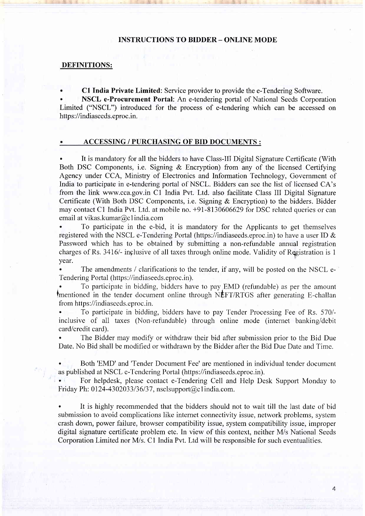#### INSTRUCTIONS TO BIDDER - ONLINE MODE

#### DEFINITIONS:

. Cl India Private Limited: Service provider to provide the e-Tendering Software.

. NSCL e-Procurement Portal: An e-tendering portal of National Seeds Corporation Limited ("NSCL") introduced for the process of e-tendering which can be accessed on https ://indiaseeds.eproc.in.

#### ACCESSING / PURCHASING OF BID DOCUMENTS :

. It is mandatory for all the bidders to have Class-III Digital Signature Certificate (With Both DSC Components, i.e. Signing & Encryption) from any of the licensed Certifying Agency under CCA, Ministry of Electronics and Information Technology, Government of India to participate in e-tendering portal of NSCL. Bidders can see the list of licensed CA's from the link www.cca.gov.in C1 India Pvt. Ltd. also facilitate Class III Digital Signature Certificate (With Both DSC Components, i.e. Signing & Encryption) to the bidders. Bidder may contact Cl India Pvt. Ltd. at mobile no. +91-8130606629 for DSC related queries or can email at vikas.kumar@c 1 india.com

. To participate in the e-bid, it is mandatory for the Applicants to get themselves registered with the NSCL e-Tendering Portal (https://indiaseeds.eproc.in) to have a user ID & Password which has to be obtained by submitting a non-refundable annual registration charges of Rs. 3416/- inclusive of all taxes through online mode. Validity of Registration is 1 year.

The amendments / clarifications to the tender, if any, will be posted on the NSCL e-Tendering Portal (https://indiaseeds.eproc.in).

To participate in bidding, bidders have to pay.EMD (refundable) as per the amount tmentioned in the tender document online through NEFT/RTGS after generating E-challan from https://indiaseeds.eproc.in.

. To participate in bidding, bidders have to pay Tender Processing Fee of Rs. 570/ inclusive of all taxes (Non-refundable) through online mode (internet banking/debit card/credit card).

The Bidder may modify or withdraw their bid after submission prior to the Bid Due Date. No Bid shall be modified or withdrawn by the Bidder after the Bid Due Date and Time.

. Both'EMD' and'Tender Document Fee' are mentioned in individual tender document as published at NSCL e-Tendering Portal (https://indiaseeds.eproc.in).

. For helpdesk, please contact e-Tendering Cell and Help Desk Support Monday to Friday Ph: 0124-4302033/36/37, nsclsupport@c1india.com.

. It is highly recommended that the bidders should not to wait till the last date of bid submission to avoid complications like intemet connectivity issue, network problems, system crash down, power failure, browser compatibility issue, system compatibility issue, improper digital signature certificate problem etc. In view of this context, neither M/s National Seeds Corporation Limited nor M/s. C1 India Pvt. Ltd will be responsible for such eventualities.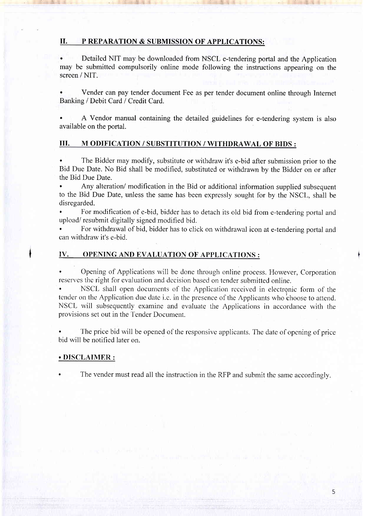#### II. P REPARATION & SUBMISSION OF APPLICATIONS:

. Detailed NIT may be downloaded from NSCL e-tendering portal and the Application may be submitted compulsorily online mode following the instructions appearing on the screen / NIT.

. Vender can pay tender document Fee as per tender document online through Intemet Banking / Debit Card / Credit Card.

A Vendor manual containing the detailed guidelines for e-tendering system is also available on the portal.

# III. M ODIFICATION / SUBSTITUTION / WITHDRAWAL OF BIDS :

. The Bidder may modify, substitute or withdraw it's e-bid after submission prior to the Bid Due Date. No Bid shall be modified, substituted or withdrawn by the Bidder on or after the Bid Due Date.

. Any alteration/ modification in the Bid or additional information supplied subsequent to the Bid Due Date, unless the same has been expressly sought for by the NSCL, shall be disregarded.

. For modification of e-bid, bidder has to detach its old bid from e-tendering portal and upload/ resubmit digitally signed modified bid.

. For withdrawal of bid, bidder has to click on withdrawal icon at e-tendering portal and can withdraw it's e-bid.

# IV. OPENING AND EVALUATION OF APPLICATIONS :

. Opening of Applications will be done through online process. However, Corporation reserves the right for evaluation and decision based on tender submitted online.

. NSCL shall open documents of the Application received in electronic forrn of the tender on the Application due date i.e. in the presence of the Applicants who choose to attend. NSCL will subsequently examine and evaluate the Applications in accordance with the provisions set out in the Tender Document.

. The price bid will be opened of the responsive applicants. The date of opening of price bid will be notified later on.

#### . DISCLAIMER :

The vender must read all the instruction in the RFP and submit the same accordingly.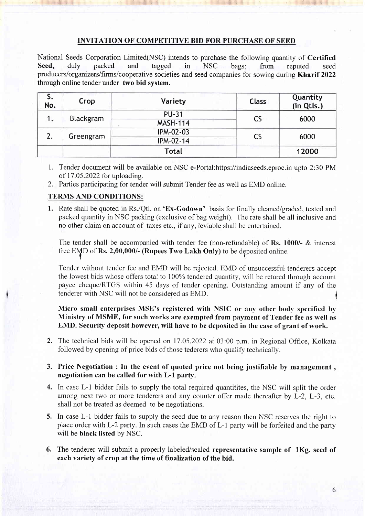# INVITATION OF COMPETITIVE BID FOR PURCHASE OF SEED

National Seeds Corporation Limited(NSC) intends to purchase the following quantity of Certified Sccd, duly packed and tagged in NSC bags; from reputed seed producers/organizers/firms/cooperative societies and seed companies for sowing during Kharif 2022 through online tender under two bid system.

| S.<br>No. | Crop      | <b>Variety</b>   | <b>Class</b> | Quantity<br>(in Qtls.) |
|-----------|-----------|------------------|--------------|------------------------|
| 1.        | Blackgram | <b>PU-31</b>     | <b>CS</b>    | 6000                   |
|           |           | <b>MASH-114</b>  |              |                        |
|           | Greengram | <b>IPM-02-03</b> | CS           | 6000                   |
|           |           | IPM-02-14        |              |                        |
|           |           | <b>Total</b>     |              | 12000                  |

- l. Tender document will be available on NSC e-Portal:https://indiaseeds.eproc.in upto 2:30 PM of 17.05.2022 for uploading.
- 2. Parties participating for tender will submit Tender fee as well as EMD online.

# TERMS AND CONDITIONS:

1. Rate shall be quoted in Rs./Qtl. on 'Ex-Godown' basis for finally cleaned/graded, tested and packed quantity in NSC packing (exclusive of bag weight). The rate shall be all inclusive and no other claim on account of taxes etc., if any, leviable shall be enterlained.

The tender shall be accompanied with tender fee (non-refundable) of Rs. 1000/- & interest free EMD of Rs. 2,00,000/- (Rupees Two Lakh Only) to be deposited online.

Tender without tender fee and EMD will be rejected. EMD of unsuccessful tenderers accept the lowest bids whose offers total to I00% tendered quantity, will be retured through account payee cheque/RTGS within 45 days of tender opening. Outstanding amount if any of the tenderer with NSC will not be considered as EMD.

Micro small enterprises MSE's registered with NSIC or any other body specifred by Ministry of MSME, for such works are exempted from payment of Tender fee as well as EMD. Security deposit however, will have to be deposited in the case of grant of work.

2. The technical bids will be opened on 17.05.2022 at 03:00 p.m. in Regional Office, Kolkata followed by opening of price bids of those tederers who qualify technically.

# 3. Price Negotiation : In the event of quoted price not being justifiable by management , negotiation can be called for with L-l party.

- 4. In case L-l bidder fails to supply the total required quantitites, the NSC will split the order among next two or more tenderers and any counter offer made thereafter by L-2, L-3, etc. shall not be treated as deemed to be negotiations.
- 5. In case L-l bidder fails to supply the seed due to any reason then NSC reserves the right to place order with L-2 party. In such cases the EMD of L-1 party will be forfeited and the party will be black listed by NSC.
- 6. The tenderer will submit a properly labeled/sealed representative sample of lKg. seed of each variety of crop at the time of finalization of the bid.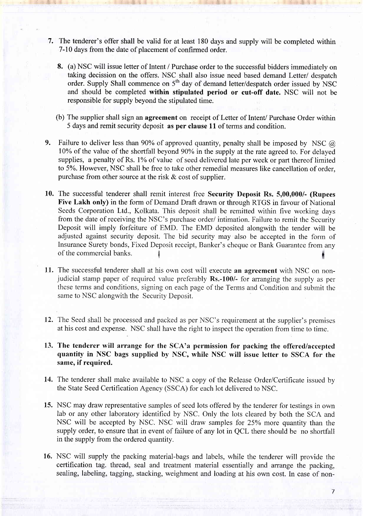- 7. The tenderer's offer shall be valid for at least 180 days and supply will be completed within 7-10 days from the date of placement of confirmed order.
	- 8. (a) NSC will issue letter of Intent / Purchase order to the successful bidders immediately on taking decission on the offers. NSC shall also issue need based demand Letter/ despatch order. Supply Shall commence on 5<sup>th</sup> day of demand letter/despatch order issued by NSC and should be completed within stipulated period or cut-off date. NSC will not be responsible for supply beyond the stipulated time.
	- (b) The supplier shall sign an agreement on receipt of Letter of Intent/ Purchase Order within 5 days and remit security deposit as per clause 11 of terms and condition.
- 9. Failure to deliver less than 90% of approved quantity, penalty shall be imposed by NSC  $\omega$ 10% of the value of the shortfall beyond 90Yo in the supply at the rate agreed to. For delayed supplies, a penalty of Rs. 1% of value of seed delivered late per week or part thereof limited to 5%. However, NSC shall be free to take other remedial measures like cancellation of order, purchase from other source at the risk  $\&$  cost of supplier.
- 10. The successful tenderer shall remit interest free Security Deposit Rs. 5,00,000/- (Rupees Five Lakh only) in the form of Demand Draft drawn or through RTGS in favour of National Seeds Corporation Ltd., Kolkata. This deposit shall be remitted within five working days from the date of receiving the NSC's purchase order/ intimation. Failure to remit the Security Deposit will imply forfeiture of EMD. The EMD deposited alongwith the tender will be adjusted against security deposit. The bid security may also be accepted in the fonn of Insurance Surety bonds, Fixed Deposit receipt, Banker's cheque or Bank Guarantee from any of the commercial banks. <sup>I</sup>
- 11. The successful tenderer shall at his own cost will execute an agreement with NSC on nonjudicial stamp paper of required value preferably  $\text{Rs.}-100$ /- for arranging the supply as per these terms and conditions, signing on each page of the Terms and Condition and submit the same to NSC alongwith the Security Deposit.
- 12. The Seed shall be processed and packed as per NSC's requirement at the supplier's premises at his cost and expense. NSC shall have the right to inspect the operation from time to time.
- 13. The tenderer will arrange for the SCA'a permission for packing the offered/accepted quantity in NSC bags supplied by NSC, while NSC will issue Ietter to SSCA for the same, if required.
- 14. The tenderer shall make available to NSC a copy of the Release Order/Certificate issued by the State Seed Certification Agency (SSCA) for each lot delivered to NSC.
- 15. NSC may draw representative samples of seed lots offered by the tenderer for testings in own lab or any other laboratory identified by NSC. Only the lots cleared by both the SCA and NSC will be accepted by NSC. NSC will draw samples for 25% more quantity than the supply order, to ensure that in event of failure of any lot in QCL there should be no shortfall in the supply from the ordered quantity.
- 16. NSC will supply the packing material-bags and labels, while the tenderer will provide the certification tag. thread, seal and treatment material essentially and arrange the packing, sealing, labeling, tagging, stacking, weighment and loading at his own cost. In case of non-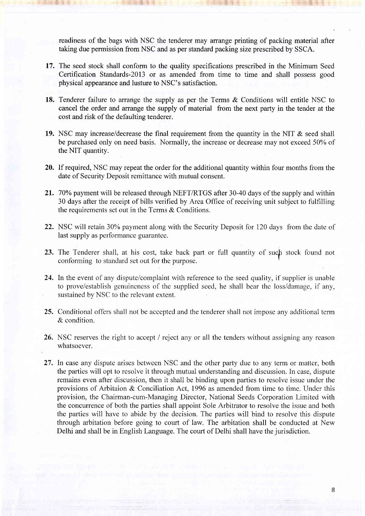readiness of the bags with NSC the tenderer may arrange printing of packing material after taking due permission from NSC and as per standard packing size prescribed by SSCA.

- 17. The seed stock shall conform to the quality specifications prescribed in the Minimum Seed Certification Standards-20l3 or as amended from time to time and shall possess good physical appearance and lusture to NSC's satisfaction.
- 18. Tenderer failure to arrange the supply as per the Terms & Conditions will entitle NSC to cancel the order and arrange the supply of material from the next party in the tender at the cost and risk of the defaulting tenderer.
- 19. NSC may increase/decrease the final requirement from the quantity in the NIT & seed shall be purchased only on need basis. Normally, the increase or decrease may not exceed 50% of the NIT quantity.
- 20. If required, NSC may repeat the order for the additional quantity within four months from the date of Security Deposit remittance with mutual consent.
- 21. 70% payment will be released through NEFT/RTGS after 30-40 days of the supply and within 30 days after the receipt of bills verified by Area Office of receiving unit subject to fulfilling the requirements set out in the Terms & Conditions.
- 22. NSC will retain 30% payment along with the Security Deposit for 120 days from the date of last supply as performance guarantee.
- 23. The Tenderer shall, at his cost, take back part or full quantity of such stock found not conforming to standard set out for the purpose.
- 24. In the event of any dispute/complaint with reference to the seed quality, if supplier is unable to prove/establish genuineness of the supplied seed, he shall bear the loss/damage, if any, sustained by NSC to the relevant extent.
- 25. Conditional offers shall not be accepted and the tenderer shall not impose any additional term & condition.
- 26. NSC reserves the right to accept / reject any or all the tenders without assigning any reason whatsoever.
- 27. In case any dispute arises between NSC and the other party due to any term or matter, both the parties will opt to resolve it through mutual understanding and discussion. In case, dispute remains even after discussion, then it shall be binding upon parties to resolve issue under the provisions of Arbitaion & Conciliation Act, 1996 as amended from time to time. Under this provision, the Chairman-cum-Managing Director, National Seeds Corporation Limited with the concurrence of both the parties shall appoint Sole Arbitrator to resolve the issue and both the parties will have to abide by the decision. The parties will bind to resolve this dispute through arbitation before going to court of law. The arbitation shall be conducted at New Delhi and shall be in English Language. The court of Delhi shall have the jurisdiction.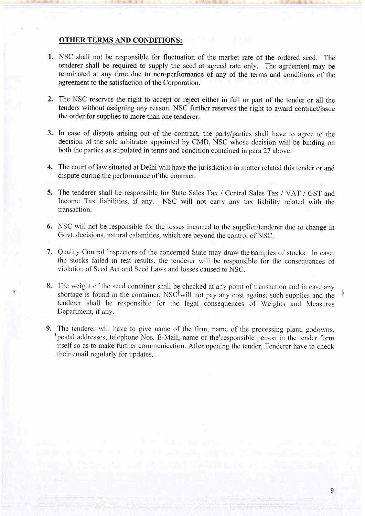# OTHER TERMS AND CONDITIONS:

- l. NSC shall not be responsible for fluctuation of the market rate of the ordered seed. The tenderer shall be required to supply the seed at agreed rate only. The agreement may be terminated at any time due to non-performance of any of the terms and conditions of the agreement to the satisfaction of the Corporation.
- 2. The NSC reserves the right to accept or reject either in full or part of the tender or all the tenders without assigning any reason. NSC further reserves the right to award contract/issue the order for supplies to more than one tenderer.
- 3. In case of dispute arising out of the contract, the partylparties shall have to agree to the decision of the sole arbitrator appointed by CMD, NSC whose decision will be binding on both the parties as stipulated in terms and condition contained in para 27 above.
- 4. The court of law situated at Delhi will have the jurisdiction in matter related this tender or and dispute during the performance of the contract.
- 5. The tenderer shall be responsible for State Sales Tax / Central Sales Tax / VAT / GST and Income Tax liabilities, if any. NSC will not carry any tax liability related with the transaction.
- 6. NSC will not be responsible for the losses incurred to the supplier/tenderer due to change in Govt. decisions, natural calamities, which are beyond the control of NSC.
- 7. Quality Control lnspectors of the concemed State may draw the isamples of stocks. In case, the stocks failed in test results, the tenderer will be responsible for the consequences of violation of Seed Act and Seed Laws and losses caused to NSC.
- 8. The weight of the seed container shall be checked at any point of transaction and in case any shortage is found in the container, NSC<sup>t</sup>will not pay any cost against such supplies and the tenderer shall be responsible for the legal consequences of Weights and Measures Department, if any.
- 9. The tenderer will have to give name of the firm, name of the processing plant, godowns, postal addresses, telephone Nos. E-Mail, name of the responsible person in the tender form itself so as to make further communication. After opening the tender, Tenderer have to check their email regularly for updates.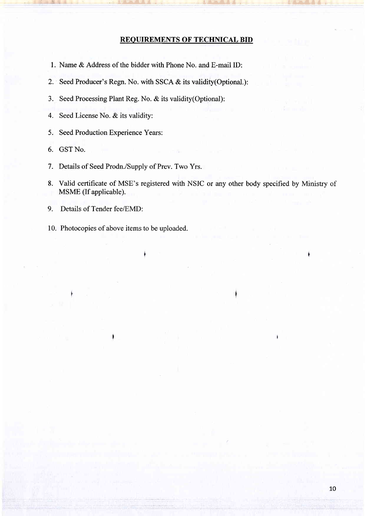#### REOUIREMENTS OF TECHNICAL BID

- l. Name & Address of the bidder with Phone No. and E-mail ID:
- 2. Seed Producer's Regn. No. with SSCA & its validity(Optional.):
- 3. Seed Processing Plant Reg. No. & its validity(Optional):

j+gJ4:ii

- 4. Seed License No. & its validity:
- 5. Seed Production Experience Years:
- 6. GST No.
- <sup>7</sup>. Details of Seed Prodn./Supply of Prev. Two Yrs.
- 8. Valid certificate of MSE's registered with NSIC or any other body specified by Ministry of MSME (If applicable).
- 9. Details of Tender fee/EMD:
- 10. Photocopies of above items to be uploaded.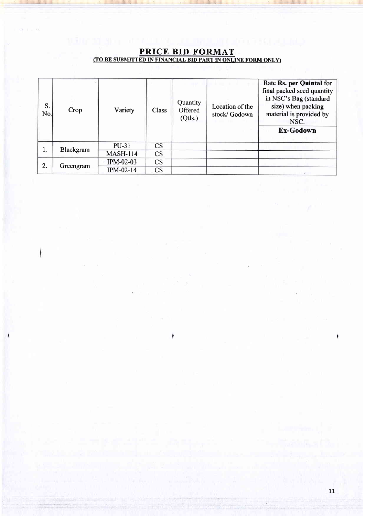| S.<br>No. | Crop      | Variety                 | Class     | Quantity<br>Offered<br>(Qtls.) | Location of the<br>stock/ Godown | Rate Rs. per Quintal for<br>final packed seed quantity<br>in NSC's Bag (standard<br>size) when packing<br>material is provided by<br>NSC.<br>Ex-Godown |
|-----------|-----------|-------------------------|-----------|--------------------------------|----------------------------------|--------------------------------------------------------------------------------------------------------------------------------------------------------|
| 1.        | Blackgram | PU-31                   | <b>CS</b> |                                |                                  |                                                                                                                                                        |
|           |           | <b>MASH-114</b>         | <b>CS</b> |                                |                                  |                                                                                                                                                        |
| 2.        | Greengram | $\textdegree$ IPM-02-03 | CS        |                                |                                  |                                                                                                                                                        |
|           |           | <b>IPM-02-14</b>        | <b>CS</b> |                                |                                  |                                                                                                                                                        |

# PRICE BID FORMAT <u>(TO BE SUBMITTED IN FINANCIAL BID PART IN ONLINE FORM ONLY)</u>